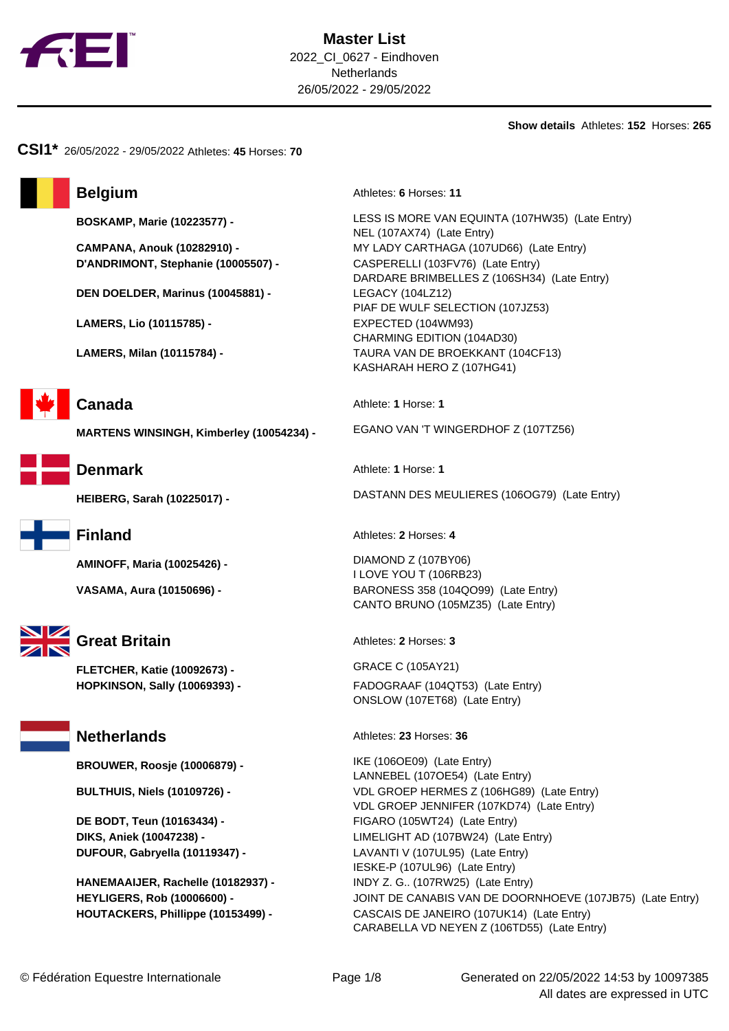

**Show details** Athletes: **152** Horses: **265**

**CSI1\*** 26/05/2022 - 29/05/2022 Athletes: **45** Horses: **70**

**D'ANDRIMONT, Stephanie (10005507) -** CASPERELLI (103FV76) (Late Entry)

**DEN DOELDER, Marinus (10045881) -** LEGACY (104LZ12)

**LAMERS, Lio (10115785) -** EXPECTED (104WM93)







**AMINOFF, Maria (10025426) -** DIAMOND Z (107BY06)



# **Great Britain** Athletes: 2 Horses: 3

**FLETCHER, Katie (10092673) -** GRACE C (105AY21)

**BROUWER, Roosje (10006879) -** IKE (106OE09) (Late Entry)

**HANEMAAIJER, Rachelle (10182937) -** INDY Z. G.. (107RW25) (Late Entry)

**Belgium** Athletes: **6** Horses: **11** 

**BOSKAMP, Marie (10223577) -** LESS IS MORE VAN EQUINTA (107HW35) (Late Entry) NEL (107AX74) (Late Entry) **CAMPANA, Anouk (10282910) -** MY LADY CARTHAGA (107UD66) (Late Entry) DARDARE BRIMBELLES Z (106SH34) (Late Entry) PIAF DE WULF SELECTION (107JZ53) CHARMING EDITION (104AD30) **LAMERS, Milan (10115784) -** TAURA VAN DE BROEKKANT (104CF13) KASHARAH HERO Z (107HG41)

**Canada** Athlete: **1** Horse: **1** 

**MARTENS WINSINGH, Kimberley (10054234) -** EGANO VAN 'T WINGERDHOF Z (107TZ56)

**Denmark** Athlete: **1** Horse: **1** 

**HEIBERG, Sarah (10225017) -** DASTANN DES MEULIERES (106OG79) (Late Entry)

**Finland** Athletes: **2** Horses: **4** 

I LOVE YOU T (106RB23) **VASAMA, Aura (10150696) -** BARONESS 358 (104QO99) (Late Entry) CANTO BRUNO (105MZ35) (Late Entry)

**HOPKINSON, Sally (10069393) -** FADOGRAAF (104QT53) (Late Entry) ONSLOW (107ET68) (Late Entry)

**Netherlands** Athletes: 23 Horses: 36

LANNEBEL (107OE54) (Late Entry) **BULTHUIS, Niels (10109726) -** VDL GROEP HERMES Z (106HG89) (Late Entry) VDL GROEP JENNIFER (107KD74) (Late Entry) **DE BODT, Teun (10163434) -** FIGARO (105WT24) (Late Entry) **DIKS, Aniek (10047238) -** LIMELIGHT AD (107BW24) (Late Entry) **DUFOUR, Gabryella (10119347) -** LAVANTI V (107UL95) (Late Entry) IESKE-P (107UL96) (Late Entry) **HEYLIGERS, Rob (10006600) -** JOINT DE CANABIS VAN DE DOORNHOEVE (107JB75) (Late Entry) **HOUTACKERS, Phillippe (10153499) -** CASCAIS DE JANEIRO (107UK14) (Late Entry) CARABELLA VD NEYEN Z (106TD55) (Late Entry)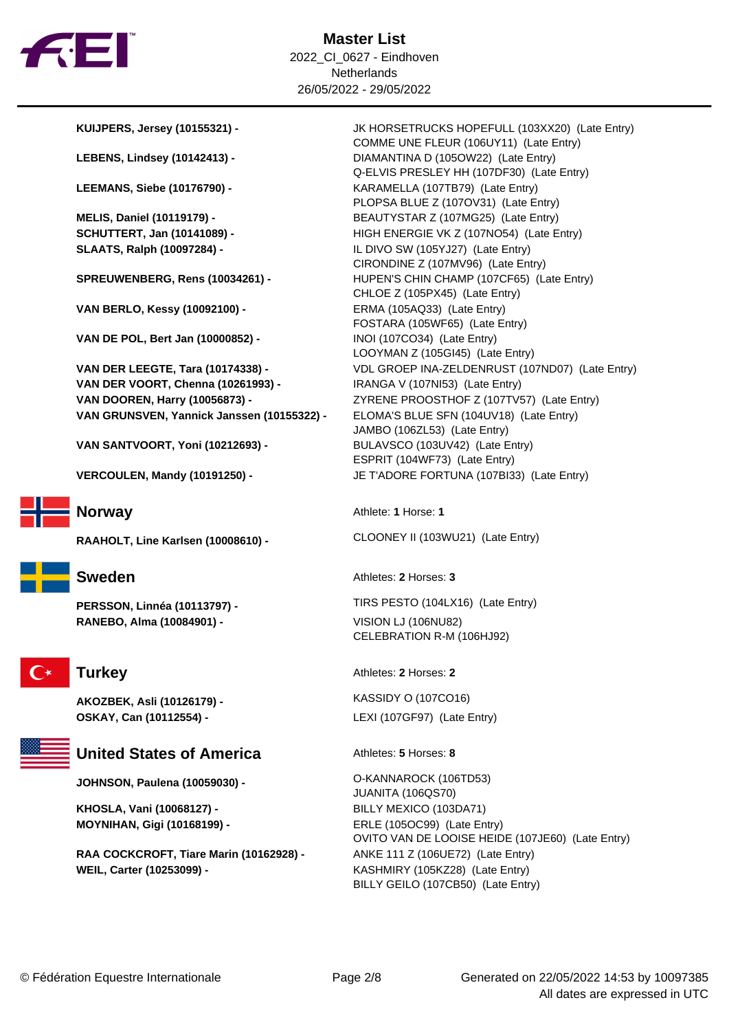

**VAN BERLO, Kessy (10092100) -** ERMA (105AQ33) (Late Entry)

**VAN DE POL, Bert Jan (10000852) -** INOI (107CO34) (Late Entry)

**VAN DER VOORT, Chenna (10261993) -** IRANGA V (107NI53) (Late Entry) **VAN DOOREN, Harry (10056873) - <br>ZYRENE PROOSTHOF Z (107TV57) (Late Entry) VAN GRUNSVEN, Yannick Janssen (10155322) -** ELOMA'S BLUE SFN (104UV18) (Late Entry)

**VAN SANTVOORT, Yoni (10212693) -** BULAVSCO (103UV42) (Late Entry)

**VERCOULEN, Mandy (10191250) -** JE T'ADORE FORTUNA (107BI33) (Late Entry)



**RANEBO, Alma (10084901) -** VISION LJ (106NU82)



**AKOZBEK, Asli (10126179) -** KASSIDY O (107CO16) **OSKAY, Can (10112554) -** LEXI (107GF97) (Late Entry)



### **United States of America** Athletes: 5 Horses: 8

**JOHNSON, Paulena (10059030) -** O-KANNAROCK (106TD53)

**KHOSLA, Vani (10068127) -** BILLY MEXICO (103DA71) **MOYNIHAN, Gigi (10168199) -** ERLE (105OC99) (Late Entry)

**RAA COCKCROFT, Tiare Marin (10162928) -** ANKE 111 Z (106UE72) (Late Entry) **WEIL, Carter (10253099) -** KASHMIRY (105KZ28) (Late Entry)

**KUIJPERS, Jersey (10155321) -** JK HORSETRUCKS HOPEFULL (103XX20) (Late Entry) COMME UNE FLEUR (106UY11) (Late Entry) **LEBENS, Lindsey (10142413) -** DIAMANTINA D (105OW22) (Late Entry) Q-ELVIS PRESLEY HH (107DF30) (Late Entry) LEEMANS, Siebe (10176790) - **KARAMELLA (107TB79)** (Late Entry) PLOPSA BLUE Z (107OV31) (Late Entry) **MELIS, Daniel (10119179) -** BEAUTYSTAR Z (107MG25) (Late Entry) **SCHUTTERT, Jan (10141089) -** HIGH ENERGIE VK Z (107NO54) (Late Entry) **SLAATS, Ralph (10097284) -** IL DIVO SW (105YJ27) (Late Entry) CIRONDINE Z (107MV96) (Late Entry) **SPREUWENBERG, Rens (10034261) -** HUPEN'S CHIN CHAMP (107CF65) (Late Entry) CHLOE Z (105PX45) (Late Entry) FOSTARA (105WF65) (Late Entry) LOOYMAN Z (105GI45) (Late Entry) **VAN DER LEEGTE, Tara (10174338) -** VDL GROEP INA-ZELDENRUST (107ND07) (Late Entry) JAMBO (106ZL53) (Late Entry) ESPRIT (104WF73) (Late Entry)

**Norway** Athlete: **1** Horse: **1** 

**RAAHOLT, Line Karlsen (10008610) -** CLOONEY II (103WU21) (Late Entry)

**Sweden** Athletes: **2** Horses: **3** 

**PERSSON, Linnéa (10113797) -** TIRS PESTO (104LX16) (Late Entry)

CELEBRATION R-M (106HJ92)

**Turkey** Athletes: 2 Horses: 2

JUANITA (106QS70) OVITO VAN DE LOOISE HEIDE (107JE60) (Late Entry) BILLY GEILO (107CB50) (Late Entry)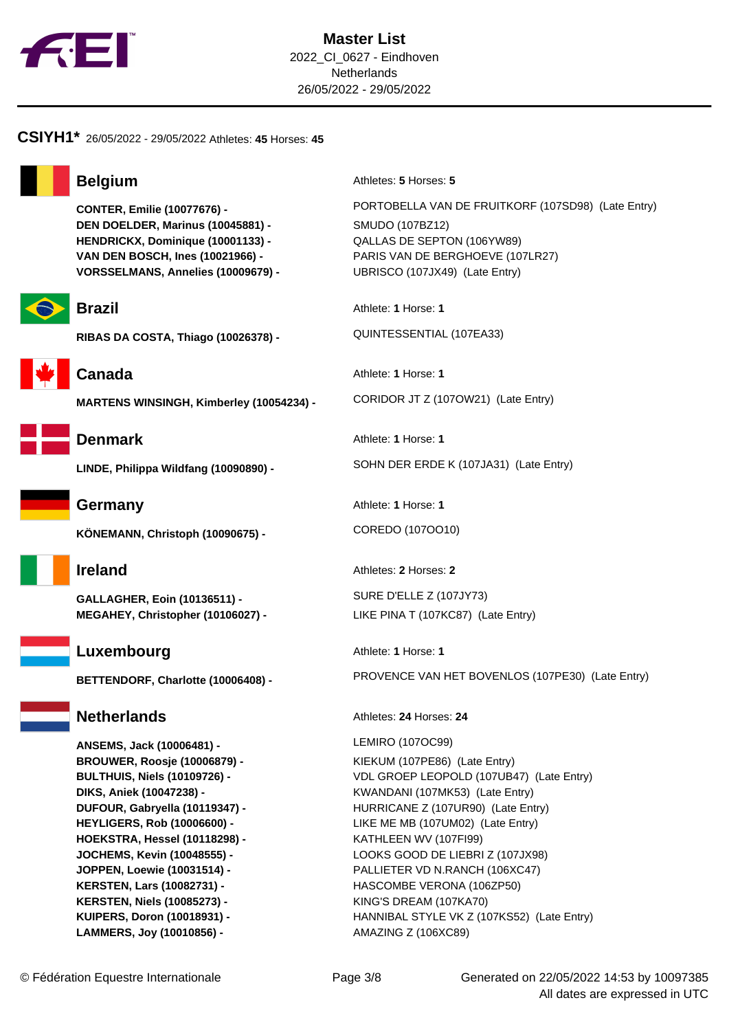

### **CSIYH1\*** 26/05/2022 - 29/05/2022 Athletes: **45** Horses: **45**



**DEN DOELDER, Marinus (10045881) -** SMUDO (107BZ12) **HENDRICKX, Dominique (10001133) -** QALLAS DE SEPTON (106YW89) **VORSSELMANS, Annelies (10009679) -** UBRISCO (107JX49) (Late Entry)



RIBAS DA COSTA, Thiago (10026378) - QUINTESSENTIAL (107EA33)



**MARTENS WINSINGH, Kimberley (10054234) -** CORIDOR JT Z (107OW21) (Late Entry)



**KÖNEMANN, Christoph (10090675) -** COREDO (107OO10)

**GALLAGHER, Eoin (10136511) -** SURE D'ELLE Z (107JY73) **MEGAHEY, Christopher (10106027) -** LIKE PINA T (107KC87) (Late Entry)



**ANSEMS, Jack (10006481) -** LEMIRO (107OC99) **BROUWER, Roosje (10006879) -** KIEKUM (107PE86) (Late Entry) **HOEKSTRA, Hessel (10118298) -** KATHLEEN WV (107FI99) **KERSTEN, Lars (10082731) -** HASCOMBE VERONA (106ZP50) **KERSTEN, Niels (10085273) -** KING'S DREAM (107KA70) **LAMMERS, Joy (10010856) -** AMAZING Z (106XC89)

**Belgium** Athletes: **5** Horses: **5** 

**CONTER, Emilie (10077676) -** PORTOBELLA VAN DE FRUITKORF (107SD98) (Late Entry) **VAN DEN BOSCH, Ines (10021966) -** PARIS VAN DE BERGHOEVE (107LR27)

**Brazil** Athlete: **1** Horse: **1** 

**Canada** Athlete: **1** Horse: **1** 

**Denmark** Athlete: **1** Horse: **1** 

**LINDE, Philippa Wildfang (10090890) -** SOHN DER ERDE K (107JA31) (Late Entry)

**Germany** Athlete: **1** Horse: **1** 

**Ireland** Athletes: **2** Horses: **2** 

**Luxembourg** Athlete: **1** Horse: **1** 

**BETTENDORF, Charlotte (10006408) -** PROVENCE VAN HET BOVENLOS (107PE30) (Late Entry)

**Netherlands** Athletes: 24 Horses: 24

**BULTHUIS, Niels (10109726) -** VDL GROEP LEOPOLD (107UB47) (Late Entry) **DIKS, Aniek (10047238) -** KWANDANI (107MK53) (Late Entry) **DUFOUR, Gabryella (10119347) -** HURRICANE Z (107UR90) (Late Entry) **HEYLIGERS, Rob (10006600) -** LIKE ME MB (107UM02) (Late Entry) **JOCHEMS, Kevin (10048555) -** LOOKS GOOD DE LIEBRI Z (107JX98) **JOPPEN, Loewie (10031514) -** PALLIETER VD N.RANCH (106XC47) **KUIPERS, Doron (10018931) -** HANNIBAL STYLE VK Z (107KS52) (Late Entry)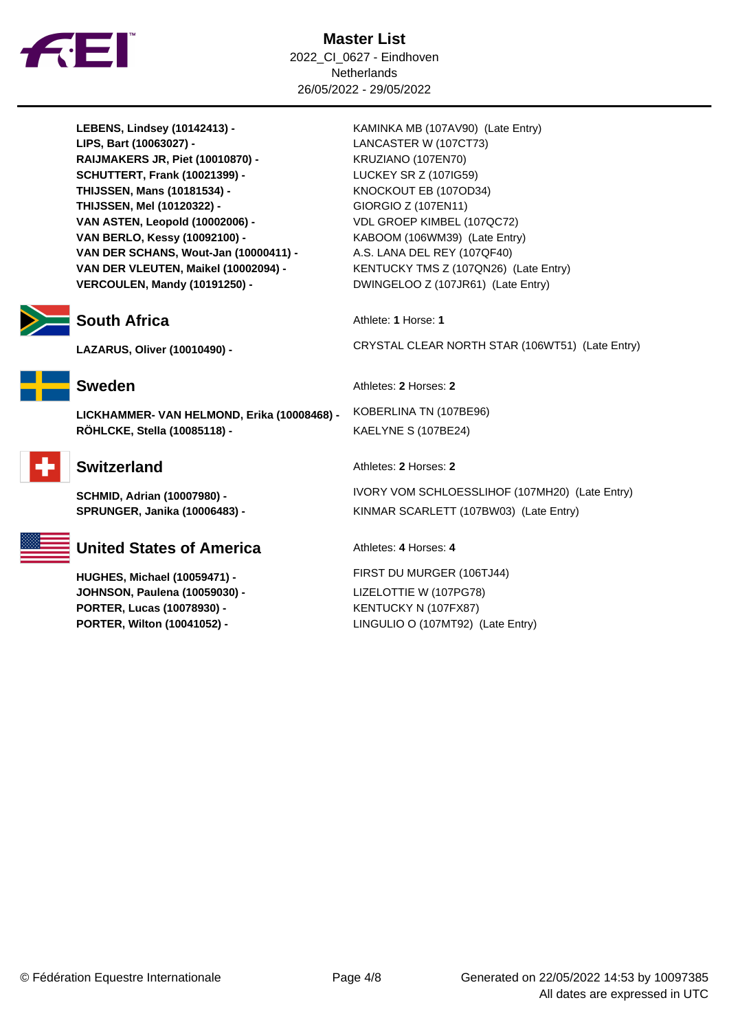

**Master List** 2022\_CI\_0627 - Eindhoven **Netherlands** 26/05/2022 - 29/05/2022

LEBENS, Lindsey (10142413) - **KAMINKA MB (107AV90)** (Late Entry) **LIPS, Bart (10063027) -** LANCASTER W (107CT73) **RAIJMAKERS JR, Piet (10010870) -** KRUZIANO (107EN70) **SCHUTTERT, Frank (10021399) -** LUCKEY SR Z (107IG59) **THIJSSEN, Mans (10181534) - <br>KNOCKOUT EB (1070D34) THIJSSEN, Mel (10120322) -** GIORGIO Z (107EN11) **VAN ASTEN, Leopold (10002006) -** VDL GROEP KIMBEL (107QC72) **VAN BERLO, Kessy (10092100) -** KABOOM (106WM39) (Late Entry) **VAN DER SCHANS, Wout-Jan (10000411) -** A.S. LANA DEL REY (107QF40) **VAN DER VLEUTEN, Maikel (10002094) -** KENTUCKY TMS Z (107QN26) (Late Entry) **VERCOULEN, Mandy (10191250) -** DWINGELOO Z (107JR61) (Late Entry)

## **South Africa** Athlete: **1** Horse: **1**



**LICKHAMMER- VAN HELMOND, Erika (10008468) -** KOBERLINA TN (107BE96) **RÖHLCKE, Stella (10085118) -** KAELYNE S (107BE24)





# **United States of America** Athletes: 4 Horses: 4

**JOHNSON, Paulena (10059030) -** LIZELOTTIE W (107PG78) **PORTER, Lucas (10078930) -** KENTUCKY N (107FX87)

**LAZARUS, Oliver (10010490) -** CRYSTAL CLEAR NORTH STAR (106WT51) (Late Entry)

**Sweden** Athletes: **2** Horses: **2** 

**Switzerland** Athletes: 2 Horses: 2

**SCHMID, Adrian (10007980) -** IVORY VOM SCHLOESSLIHOF (107MH20) (Late Entry) **SPRUNGER, Janika (10006483) -** KINMAR SCARLETT (107BW03) (Late Entry)

**HUGHES, Michael (10059471) -** FIRST DU MURGER (106TJ44) **PORTER, Wilton (10041052) -** LINGULIO O (107MT92) (Late Entry)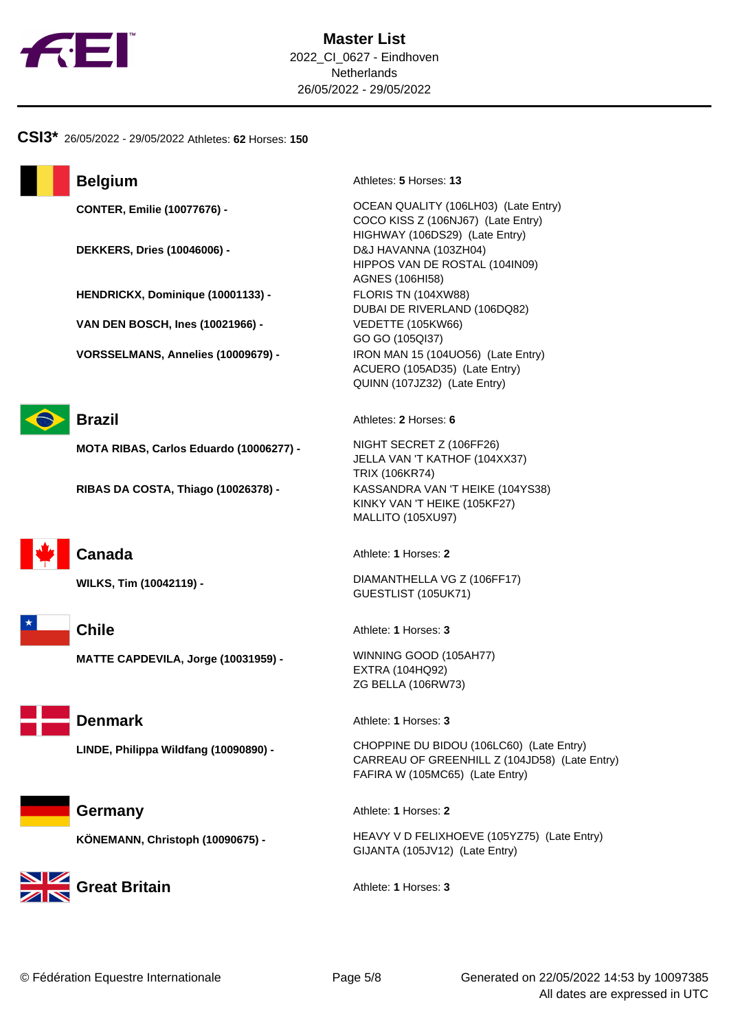

### **CSI3\*** 26/05/2022 - 29/05/2022 Athletes: **62** Horses: **150**



**DEKKERS, Dries (10046006) -** D&J HAVANNA (103ZH04)

**HENDRICKX, Dominique (10001133) -** FLORIS TN (104XW88)

**VAN DEN BOSCH, Ines (10021966) -** VEDETTE (105KW66)

**VORSSELMANS, Annelies (10009679) -** IRON MAN 15 (104UO56) (Late Entry)



**MOTA RIBAS, Carlos Eduardo (10006277) -** NIGHT SECRET Z (106FF26)

**RIBAS DA COSTA, Thiago (10026378) -** KASSANDRA VAN 'T HEIKE (104YS38)



**Chile** Athlete: **1** Horses: **3** 

**MATTE CAPDEVILA, Jorge (10031959) -** WINNING GOOD (105AH77)

**Germany** Athlete: **1** Horses: **2** 

**Great Britain Calculation** Athlete: **1** Horses: 3

**Belgium** Athletes: **5** Horses: **13** 

**CONTER, Emilie (10077676) - <br>CONTER, Emilie (10077676) - <br>CONTER, Emilie (10077676) - <br>CONTER, Emilie (10077676) - <br>CONTER, Emilie (10077676) - <br>CONTER (1008) - <br>CONTER (1008) - <br>CONTER (1008) - <br>CONTER (1008) - <br>CONTER (** COCO KISS Z (106NJ67) (Late Entry) HIGHWAY (106DS29) (Late Entry) HIPPOS VAN DE ROSTAL (104IN09) AGNES (106HI58) DUBAI DE RIVERLAND (106DQ82) GO GO (105QI37) ACUERO (105AD35) (Late Entry) QUINN (107JZ32) (Late Entry)

**Brazil** Athletes: 2 Horses: 6

JELLA VAN 'T KATHOF (104XX37) TRIX (106KR74) KINKY VAN 'T HEIKE (105KF27) MALLITO (105XU97)

**Canada** Athlete: **1** Horses: **2** 

**WILKS, Tim (10042119) -** DIAMANTHELLA VG Z (106FF17) GUESTLIST (105UK71)

EXTRA (104HQ92) ZG BELLA (106RW73)

**Denmark** Athlete: **1** Horses: **3** 

**LINDE, Philippa Wildfang (10090890) -** CHOPPINE DU BIDOU (106LC60) (Late Entry) CARREAU OF GREENHILL Z (104JD58) (Late Entry) FAFIRA W (105MC65) (Late Entry)

**KÖNEMANN, Christoph (10090675) -** HEAVY V D FELIXHOEVE (105YZ75) (Late Entry) GIJANTA (105JV12) (Late Entry)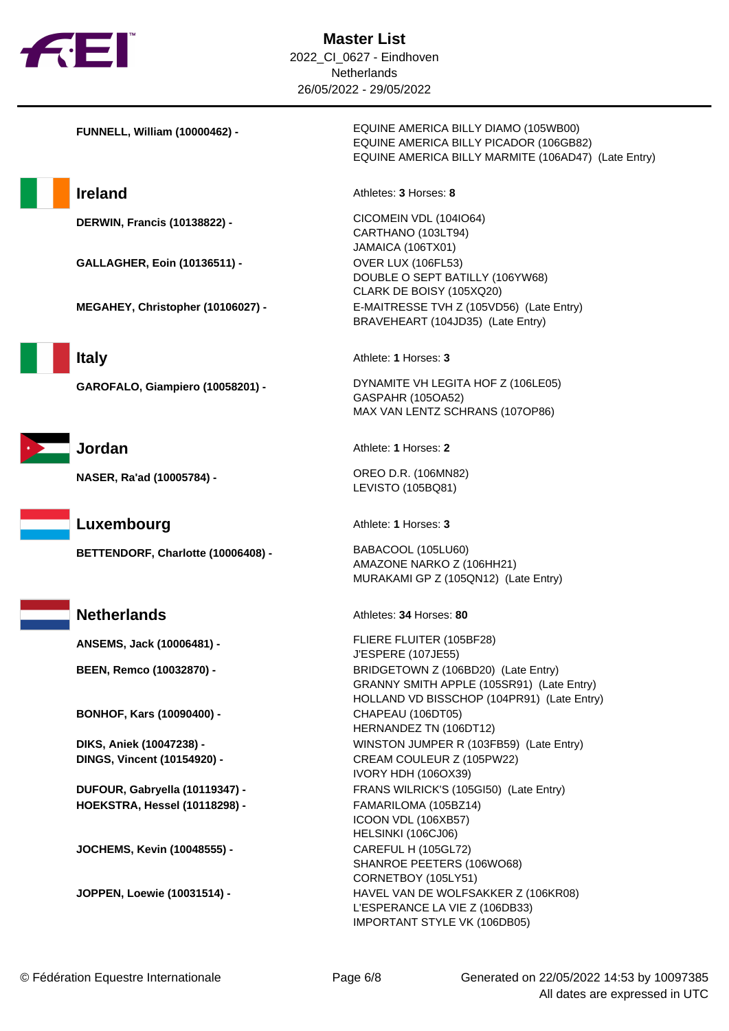

**GALLAGHER, Eoin (10136511) -** OVER LUX (106FL53)



**NASER, Ra'ad (10005784) -** OREO D.R. (106MN82)

**Luxembourg** Athlete: **1** Horses: **3** 

**ANSEMS, Jack (10006481) -** FLIERE FLUITER (105BF28)

**BONHOF, Kars (10090400) -** CHAPEAU (106DT05)

**HOEKSTRA, Hessel (10118298) -** FAMARILOMA (105BZ14)

**JOCHEMS, Kevin (10048555) -** CAREFUL H (105GL72)

**FUNNELL, William (10000462) -** EQUINE AMERICA BILLY DIAMO (105WB00) EQUINE AMERICA BILLY PICADOR (106GB82) EQUINE AMERICA BILLY MARMITE (106AD47) (Late Entry)

**Ireland** Athletes: **3** Horses: **8** 

**DERWIN, Francis (10138822) -** CICOMEIN VDL (104IO64) CARTHANO (103LT94) JAMAICA (106TX01) DOUBLE O SEPT BATILLY (106YW68) CLARK DE BOISY (105XQ20) **MEGAHEY, Christopher (10106027) -** E-MAITRESSE TVH Z (105VD56) (Late Entry) BRAVEHEART (104JD35) (Late Entry)

**Italy** Athlete: **1** Horses: **3** 

**GAROFALO, Giampiero (10058201) -** DYNAMITE VH LEGITA HOF Z (106LE05) GASPAHR (105OA52) MAX VAN LENTZ SCHRANS (107OP86)

**Jordan** Athlete: **1** Horses: **2** 

LEVISTO (105BQ81)

**BETTENDORF, Charlotte (10006408) -** BABACOOL (105LU60) AMAZONE NARKO Z (106HH21) MURAKAMI GP Z (105QN12) (Late Entry)

**Netherlands** Athletes: 34 Horses: 80

J'ESPERE (107JE55) **BEEN, Remco (10032870) -** BRIDGETOWN Z (106BD20) (Late Entry) GRANNY SMITH APPLE (105SR91) (Late Entry) HOLLAND VD BISSCHOP (104PR91) (Late Entry) HERNANDEZ TN (106DT12) **DIKS, Aniek (10047238) -** WINSTON JUMPER R (103FB59) (Late Entry) **DINGS, Vincent (10154920) -** CREAM COULEUR Z (105PW22) IVORY HDH (106OX39) **DUFOUR, Gabryella (10119347) -** FRANS WILRICK'S (105GI50) (Late Entry) ICOON VDL (106XB57) HELSINKI (106CJ06) SHANROE PEETERS (106WO68) CORNETBOY (105LY51) **JOPPEN, Loewie (10031514) -** HAVEL VAN DE WOLFSAKKER Z (106KR08) L'ESPERANCE LA VIE Z (106DB33) IMPORTANT STYLE VK (106DB05)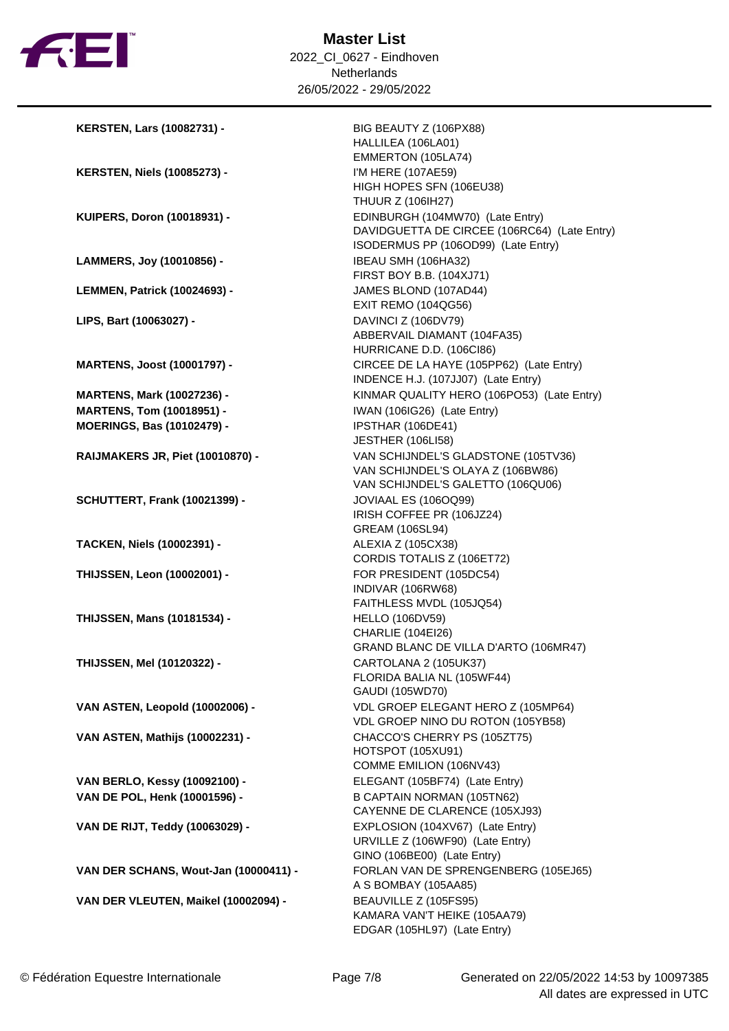

| <b>KERSTEN, Lars (10082731) -</b>     | BIG BEAUTY Z (106PX88)<br>HALLILEA (106LA01)<br>EMMERTON (105LA74)              |
|---------------------------------------|---------------------------------------------------------------------------------|
|                                       | I'M HERE (107AE59)                                                              |
| <b>KERSTEN, Niels (10085273) -</b>    | HIGH HOPES SFN (106EU38)                                                        |
|                                       | <b>THUUR Z (106IH27)</b>                                                        |
|                                       |                                                                                 |
| KUIPERS, Doron (10018931) -           | EDINBURGH (104MW70) (Late Entry)                                                |
|                                       | DAVIDGUETTA DE CIRCEE (106RC64) (Late Entry)                                    |
|                                       | ISODERMUS PP (106OD99) (Late Entry)                                             |
| LAMMERS, Joy (10010856) -             | IBEAU SMH (106HA32)                                                             |
|                                       | FIRST BOY B.B. (104XJ71)                                                        |
| <b>LEMMEN, Patrick (10024693) -</b>   | JAMES BLOND (107AD44)                                                           |
|                                       | <b>EXIT REMO (104QG56)</b>                                                      |
| LIPS, Bart (10063027) -               | DAVINCI Z (106DV79)                                                             |
|                                       | ABBERVAIL DIAMANT (104FA35)                                                     |
|                                       | HURRICANE D.D. (106Cl86)                                                        |
| <b>MARTENS, Joost (10001797) -</b>    | CIRCEE DE LA HAYE (105PP62) (Late Entry)<br>INDENCE H.J. (107JJ07) (Late Entry) |
| <b>MARTENS, Mark (10027236) -</b>     | KINMAR QUALITY HERO (106PO53) (Late Entry)                                      |
| <b>MARTENS, Tom (10018951) -</b>      | IWAN (106IG26) (Late Entry)                                                     |
| <b>MOERINGS, Bas (10102479) -</b>     | IPSTHAR (106DE41)                                                               |
|                                       | <b>JESTHER (106LI58)</b>                                                        |
| RAIJMAKERS JR, Piet (10010870) -      | VAN SCHIJNDEL'S GLADSTONE (105TV36)                                             |
|                                       | VAN SCHIJNDEL'S OLAYA Z (106BW86)                                               |
|                                       | VAN SCHIJNDEL'S GALETTO (106QU06)                                               |
| <b>SCHUTTERT, Frank (10021399) -</b>  | JOVIAAL ES (106OQ99)                                                            |
|                                       | IRISH COFFEE PR (106JZ24)                                                       |
|                                       | GREAM (106SL94)                                                                 |
| <b>TACKEN, Niels (10002391) -</b>     | ALEXIA Z (105CX38)                                                              |
|                                       | CORDIS TOTALIS Z (106ET72)                                                      |
| <b>THIJSSEN, Leon (10002001) -</b>    | FOR PRESIDENT (105DC54)                                                         |
|                                       | INDIVAR (106RW68)                                                               |
|                                       | FAITHLESS MVDL (105JQ54)                                                        |
| <b>THIJSSEN, Mans (10181534) -</b>    | <b>HELLO (106DV59)</b>                                                          |
|                                       | <b>CHARLIE (104EI26)</b>                                                        |
|                                       | GRAND BLANC DE VILLA D'ARTO (106MR47)                                           |
| <b>THIJSSEN. Mel (10120322) -</b>     | CARTOLANA 2 (105UK37)                                                           |
|                                       | FLORIDA BALIA NL (105WF44)                                                      |
|                                       | GAUDI (105WD70)                                                                 |
| VAN ASTEN, Leopold (10002006) -       | VDL GROEP ELEGANT HERO Z (105MP64)                                              |
|                                       | VDL GROEP NINO DU ROTON (105YB58)                                               |
| VAN ASTEN, Mathijs (10002231) -       | CHACCO'S CHERRY PS (105ZT75)                                                    |
|                                       | HOTSPOT (105XU91)                                                               |
|                                       | COMME EMILION (106NV43)                                                         |
| VAN BERLO, Kessy (10092100) -         | ELEGANT (105BF74) (Late Entry)                                                  |
| VAN DE POL, Henk (10001596) -         | <b>B CAPTAIN NORMAN (105TN62)</b>                                               |
|                                       | CAYENNE DE CLARENCE (105XJ93)                                                   |
|                                       | EXPLOSION (104XV67) (Late Entry)                                                |
| VAN DE RIJT, Teddy (10063029) -       | URVILLE Z (106WF90) (Late Entry)                                                |
|                                       |                                                                                 |
|                                       | GINO (106BE00) (Late Entry)                                                     |
| VAN DER SCHANS, Wout-Jan (10000411) - | FORLAN VAN DE SPRENGENBERG (105EJ65)                                            |
|                                       | A S BOMBAY (105AA85)                                                            |
| VAN DER VLEUTEN, Maikel (10002094) -  | BEAUVILLE Z (105FS95)                                                           |
|                                       | KAMARA VAN'T HEIKE (105AA79)                                                    |
|                                       | EDGAR (105HL97) (Late Entry)                                                    |